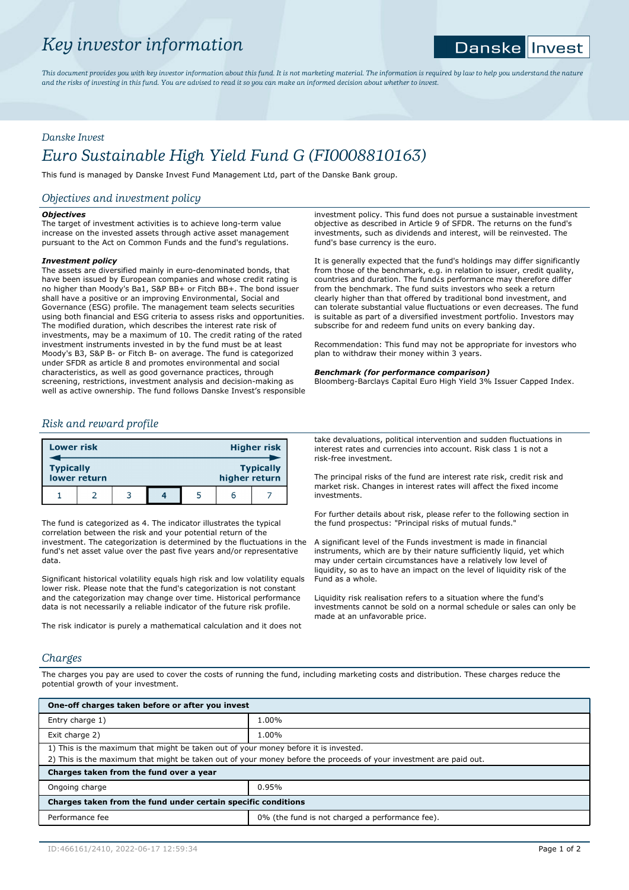# *Key investor information*

### Danske || Invest

*This document provides you with key investor information about this fund. It is not marketing material. The information is required by law to help you understand the nature and the risks of investing in this fund. You are advised to read it so you can make an informed decision about whether to invest.*

# *Danske Invest*

# *Euro Sustainable High Yield Fund G (FI0008810163)*

This fund is managed by Danske Invest Fund Management Ltd, part of the Danske Bank group.

## *Objectives and investment policy*

## *Objectives*

The target of investment activities is to achieve long-term value increase on the invested assets through active asset management pursuant to the Act on Common Funds and the fund's regulations.

## *Investment policy*

The assets are diversified mainly in euro-denominated bonds, that have been issued by European companies and whose credit rating is no higher than Moody's Ba1, S&P BB+ or Fitch BB+. The bond issuer shall have a positive or an improving Environmental, Social and Governance (ESG) profile. The management team selects securities using both financial and ESG criteria to assess risks and opportunities. The modified duration, which describes the interest rate risk of investments, may be a maximum of 10. The credit rating of the rated investment instruments invested in by the fund must be at least Moody's B3, S&P B- or Fitch B- on average. The fund is categorized under SFDR as article 8 and promotes environmental and social characteristics, as well as good governance practices, through screening, restrictions, investment analysis and decision-making as well as active ownership. The fund follows Danske Invest's responsible investment policy. This fund does not pursue a sustainable investment objective as described in Article 9 of SFDR. The returns on the fund's investments, such as dividends and interest, will be reinvested. The fund's base currency is the euro.

It is generally expected that the fund's holdings may differ significantly from those of the benchmark, e.g. in relation to issuer, credit quality, countries and duration. The fund¿s performance may therefore differ from the benchmark. The fund suits investors who seek a return clearly higher than that offered by traditional bond investment, and can tolerate substantial value fluctuations or even decreases. The fund is suitable as part of a diversified investment portfolio. Investors may subscribe for and redeem fund units on every banking day.

Recommendation: This fund may not be appropriate for investors who plan to withdraw their money within 3 years.

## *Benchmark (for performance comparison)*

Bloomberg-Barclays Capital Euro High Yield 3% Issuer Capped Index.

## *Risk and reward profile*

| <b>Lower risk</b> |              |  |               | <b>Higher risk</b> |
|-------------------|--------------|--|---------------|--------------------|
| <b>Typically</b>  | lower return |  | higher return | <b>Typically</b>   |
|                   |              |  | n             |                    |

The fund is categorized as 4. The indicator illustrates the typical correlation between the risk and your potential return of the investment. The categorization is determined by the fluctuations in the fund's net asset value over the past five years and/or representative data.

Significant historical volatility equals high risk and low volatility equals lower risk. Please note that the fund's categorization is not constant and the categorization may change over time. Historical performance data is not necessarily a reliable indicator of the future risk profile.

The risk indicator is purely a mathematical calculation and it does not

take devaluations, political intervention and sudden fluctuations in interest rates and currencies into account. Risk class 1 is not a risk-free investment.

The principal risks of the fund are interest rate risk, credit risk and market risk. Changes in interest rates will affect the fixed income investments.

For further details about risk, please refer to the following section in the fund prospectus: "Principal risks of mutual funds."

A significant level of the Funds investment is made in financial instruments, which are by their nature sufficiently liquid, yet which may under certain circumstances have a relatively low level of liquidity, so as to have an impact on the level of liquidity risk of the Fund as a whole.

Liquidity risk realisation refers to a situation where the fund's investments cannot be sold on a normal schedule or sales can only be made at an unfavorable price.

## *Charges*

The charges you pay are used to cover the costs of running the fund, including marketing costs and distribution. These charges reduce the potential growth of your investment.

| One-off charges taken before or after you invest                                                                  |                                                 |  |  |  |
|-------------------------------------------------------------------------------------------------------------------|-------------------------------------------------|--|--|--|
| Entry charge 1)                                                                                                   | 1.00%                                           |  |  |  |
| Exit charge 2)                                                                                                    | 1.00%                                           |  |  |  |
| 1) This is the maximum that might be taken out of your money before it is invested.                               |                                                 |  |  |  |
| 2) This is the maximum that might be taken out of your money before the proceeds of your investment are paid out. |                                                 |  |  |  |
| Charges taken from the fund over a year                                                                           |                                                 |  |  |  |
| Ongoing charge                                                                                                    | 0.95%                                           |  |  |  |
| Charges taken from the fund under certain specific conditions                                                     |                                                 |  |  |  |
| Performance fee                                                                                                   | 0% (the fund is not charged a performance fee). |  |  |  |